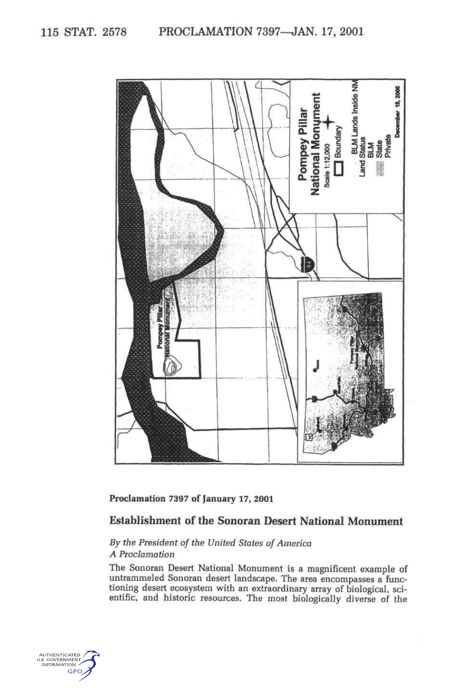

**Proclamation 7397 of January 17, 2001** 

### **Establishment of the Sonoran Desert National Monument**

## *By the President of the United States of America A Proclamation*

The Sonoran Desert National Monument is a magnificent example of untrammeled Sonoran desert landscape. The area encompasses a functioning desert ecosystem with an extraordinary array of biological, scientific, and historic resources. The most biologically diverse of the

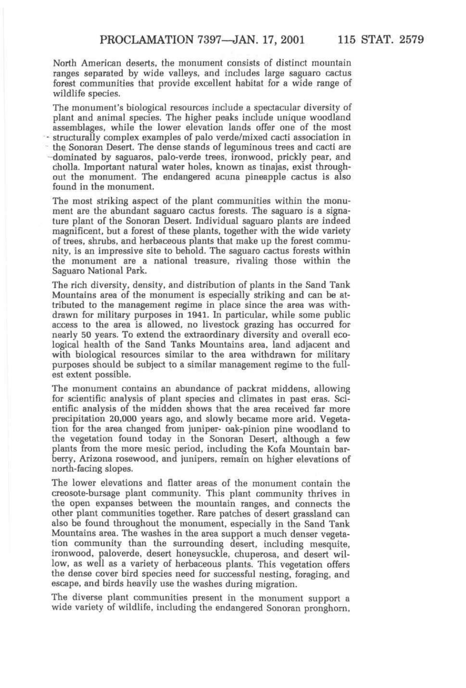North American deserts, the monument consists of distinct mountain ranges separated by wide valleys, and includes large saguaro cactus forest communities that provide excellent habitat for a wide range of wildlife species.

The monument's biological resources include a spectacular diversity of plant and animal species. The higher peaks include unique woodland assemblages, while the lower elevation lands offer one of the most structurally complex examples of palo verde/mixed cacti association in the Sonoran Desert. The dense stands of leguminous trees and cacti are dominated by saguaros, palo-verde trees, ironwood, prickly pear, and cholla. Important natural water holes, known as tinajas, exist throughout the monument. The endangered acuna pineapple cactus is also found in the monument.

The most striking aspect of the plant communities within the monument are the abundant saguaro cactus forests. The saguaro is a signature plant of the Sonoran Desert. Individual saguaro plants are indeed magnificent, but a forest of these plants, together with the wide variety of trees, shrubs, and herbaceous plants that make up the forest community, is an impressive site to behold. The saguaro cactus forests within the monument are a national treasure, rivaling those within the Saguaro National Park.

The rich diversity, density, and distribution of plants in the Sand Tank Mountains area of the monument is especially striking and can be attributed to the management regime in place since the area was withdrawn for military purposes in 1941. In particular, while some public access to the area is allowed, no livestock grazing has occurred for nearly 50 years. To extend the extraordinary diversity and overall ecological health of the Sand Tanks Mountains area, land adjacent and with biological resources similar to the area withdrawn for military purposes should be subject to a similar management regime to the fullest extent possible.

The monument contains an abundance of packrat middens, allowing for scientific analysis of plant species and climates in past eras. Scientific analysis of the midden shows that the area received far more precipitation 20,000 years ago, and slowly became more arid. Vegetation for the area changed from juniper- oak-pinion pine woodland to the vegetation found today in the Sonoran Desert, although a few plants from the more mesic period, including the Kofa Mountain barberry, Arizona rosewood, and junipers, remain on higher elevations of north-facing slopes.

The lower elevations and flatter areas of the monument contain the creosote-bursage plant community. This plant community thrives in the open expanses between the mountain ranges, and connects the other plant communities together. Rare patches of desert grassland can also be found throughout the monument, especially in the Sand Tank Mountains area. The washes in the area support a much denser vegetation community than the surrounding desert, including mesquite, ironwood, paloverde, desert honeysuckle, chuperosa, and desert willow, as well as a variety of herbaceous plants. This vegetation offers the dense cover bird species need for successful nesting, foraging, and escape, and birds heavily use the washes during migration.

The diverse plant communities present in the monument support a wide variety of wildlife, including the endangered Sonoran pronghorn.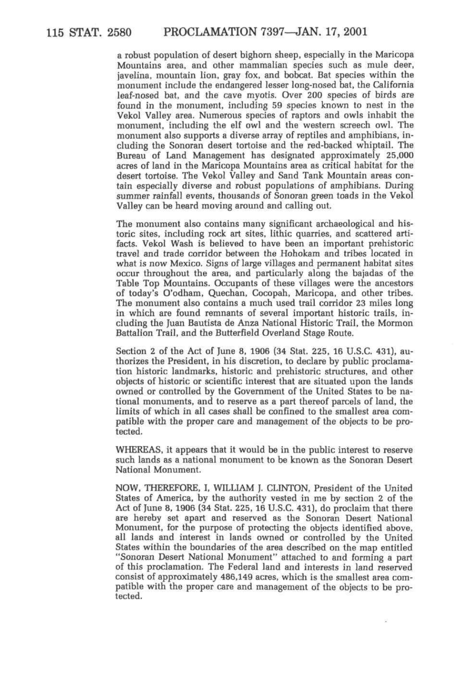a robust population of desert bighorn sheep, especially in the Maricopa Mountains area, and other mammalian species such as mule deer, javelina, mountain lion, gray fox, and bobcat. Bat species within the monument include the endangered lesser long-nosed bat, the California leaf-nosed bat, and the cave myotis. Over 200 species of birds are found in the monument, including 59 species known to nest in the Vekol Valley area. Numerous species of raptors and owls inhabit the monument, including the elf owl and the western screech owl. The monument also supports a diverse array of reptiles and amphibians, including the Sonoran desert tortoise and the red-backed whiptail. The Bureau of Land Management has designated approximately 25,000 acres of land in the Maricopa Mountains area as critical habitat for the desert tortoise. The Vekol Valley and Sand Tank Mountain areas contain especially diverse and robust populations of amphibians. During summer rainfall events, thousands of Sonoran green toads in the Vekol Valley can be heard moving around and calling out.

The monument also contains many significant archaeological and historic sites, including rock art sites, lithic quarries, and scattered artifacts. Vekol Wash is believed to have been an important prehistoric travel and trade corridor between the Hohokam and tribes located in what is now Mexico. Signs of large villages and permanent habitat sites occur throughout the area, and particularly along the bajadas of the Table Top Mountains. Occupants of these villages were the ancestors of today's O'odham, Quechan, Cocopah, Maricopa, and other tribes. The monument also contains a much used trail corridor 23 miles long in which are found remnants of several important historic trails, including the Juan Bautista de Anza National Historic Trail, the Mormon Battalion Trail, and the Butterfield Overland Stage Route.

Section 2 of the Act of June 8, 1906 (34 Stat. 225, 16 U.S.C. 431), authorizes the President, in his discretion, to declare by public proclamation historic landmarks, historic and prehistoric structures, and other objects of historic or scientific interest that are situated upon the lands owned or controlled by the Government of the United States to be national monuments, and to reserve as a part thereof parcels of land, the limits of which in all cases shall be confined to the smallest area compatible with the proper care and management of the objects to be protected.

WHEREAS, it appears that it would be in the public interest to reserve such lands as a national monument to be known as the Sonoran Desert National Monument.

NOW, THEREFORE, I, WILLIAM J. CLINTON, President of the United States of America, by the authority vested in me by section 2 of the Act of June 8, 1906 (34 Stat. 225, 16 U.S.C. 431), do proclaim that there are hereby set apart and reserved as the Sonoran Desert National Monument, for the purpose of protecting the objects identified above, all lands and interest in lands owned or controlled by the United States within the boundaries of the area described on the map entitled "Sonoran Desert National Monument" attached to and forming a part of this proclamation. The Federal land and interests in land reserved consist of approximately 486,149 acres, which is the smallest area compatible with the proper care and management of the objects to be protected.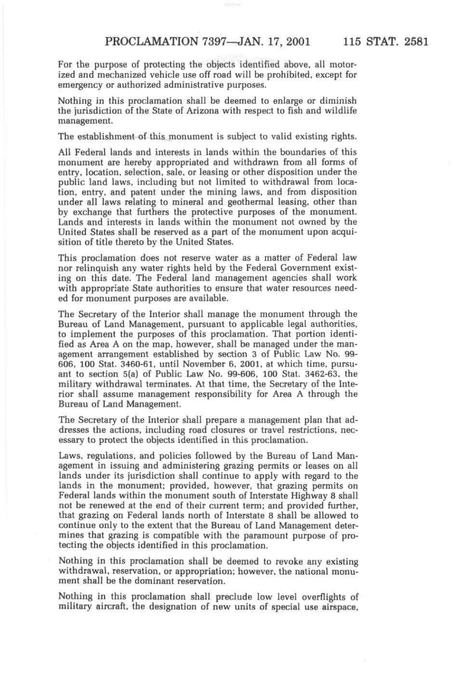For the purpose of protecting the objects identified above, all motorized and mechanized vehicle use off road *will* be prohibited, except for emergency or authorized administrative purposes.

Nothing in this proclamation shall be deemed to enlarge or diminish the jurisdiction of the State of Arizona with respect to fish and wildlife management.

The establishment of this monument is subject to valid existing rights.

All Federal lands and interests in lands within the boundaries of this monument are hereby appropriated and withdrawn from all forms of entry, location, selection, sale, or leasing or other disposition under the public land laws, including but not limited to withdrawal from location, entry, and patent under the mining laws, and from disposition under all laws relating to mineral and geothermal leasing, other than by exchange that furthers the protective purposes of the monument. Lands and interests in lands within the monument not owned by the United States shall be reserved as a part of the monument upon acquisition of title thereto by the United States.

This proclamation does not reserve water as a matter of Federal law nor relinquish any water rights held by the Federal Government existing on this date. The Federal land management agencies shall work with appropriate State authorities to ensure that water resources needed for monument purposes are available.

The Secretary of the Interior shall manage the monument through the Bureau of Land Management, pursuant to applicable legal authorities, to implement the purposes of this proclamation. That portion identified as Area A on the map, however, shall be managed under the management arrangement established by section 3 of Public Law No. 99- 606, 100 Stat. 3460-61, until November 6, 2001, at which time, pursuant to section 5(a) of Public Law No. 99-606, 100 Stat. 3462-63, the military withdrawal terminates. At that time, the Secretary of the Interior shall assume management responsibility for Area A through the Bureau of Land Management.

The Secretary of the Interior shall prepare a management plan that addresses the actions, including road closures or travel restrictions, necessary to protect the objects identified in this proclamation.

Laws, regulations, and policies followed by the Bureau of Land Management in issuing and administering grazing permits or leases on all lands under its jurisdiction shall continue to apply with regard to the lands in the monument; provided, however, that grazing permits on Federal lands within the monument south of Interstate Highway 8 shall not be renewed at the end of their current term; and provided further, that grazing on Federal lands north of Interstate 8 shall be allowed to continue only to the extent that the Bureau of Land Management determines that grazing is compatible with the paramount purpose of protecting the objects identified in this proclamation.

Nothing in this proclamation shall be deemed to revoke any existing withdrawal, reservation, or appropriation; however, the national monument shall be the dominant reservation.

Nothing in this proclamation shall preclude low level overflights of military aircraft, the designation of new units of special use airspace,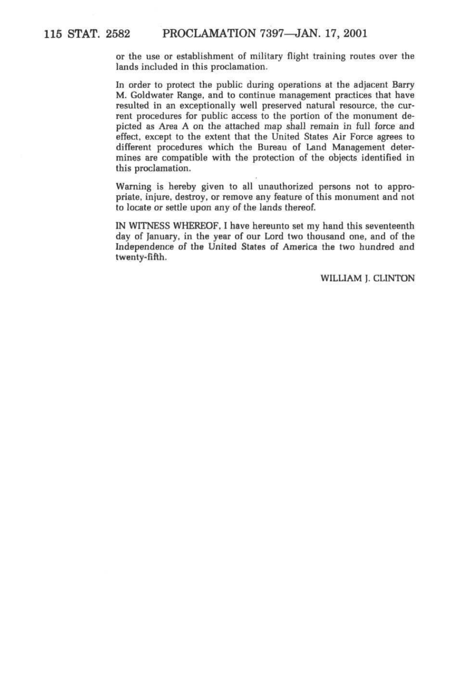#### **115 STAT. 2582 PROCLAMATION 7397—JAN. 17, 2001**

or the use or establishment of military flight training routes over the lands included in this proclamation.

In order to protect the public during operations at the adjacent Barry M. Goldwater Range, and to continue management practices that have resulted in an exceptionally well preserved natural resource, the current procedures for public access to the portion of the monument depicted as Area A on the attached map shall remain in full force and effect, except to the extent that the United States Air Force agrees to different procedures which the Bureau of Land Management determines are compatible with the protection of the objects identified in this proclamation.

Warning is hereby given to all unauthorized persons not to appropriate, injure, destroy, or remove any feature of this monument and not to locate or settle upon any of the lands thereof.

IN WITNESS WHEREOF, I have hereunto set my hand this seventeenth day of January, in the year of our Lord two thousand one, and of the Independence of the United States of America the two hundred and twenty-fifth.

WILLIAM J. CLINTON